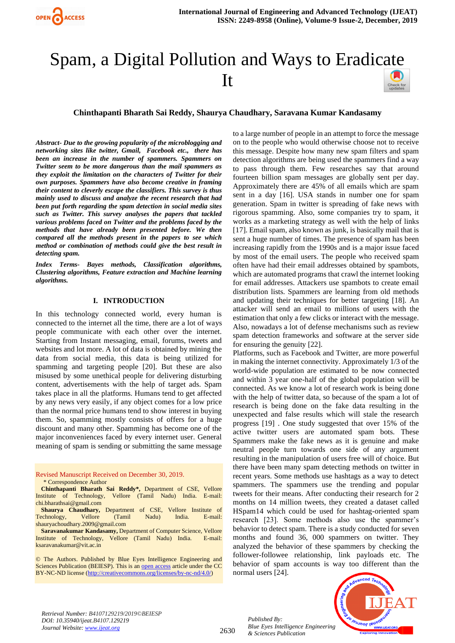# Spam, a Digital Pollution and Ways to Eradic[ate](https://crossmark.crossref.org/dialog/?doi=10.35940/ijeat.B4107.129219&domain=www.ijeat.org)  It

# **Chinthapanti Bharath Sai Reddy, Shaurya Chaudhary, Saravana Kumar Kandasamy**

*Abstract- Due to the growing popularity of the microblogging and networking sites like twitter, Gmail, Facebook etc., there has been an increase in the number of spammers. Spammers on Twitter seem to be more dangerous than the mail spammers as they exploit the limitation on the characters of Twitter for their own purposes. Spammers have also become creative in framing their content to cleverly escape the classifiers. This survey is thus mainly used to discuss and analyze the recent research that had been put forth regarding the spam detection in social media sites such as Twitter. This survey analyses the papers that tackled various problems faced on Twitter and the problems faced by the methods that have already been presented before. We then compared all the methods present in the papers to see which method or combination of methods could give the best result in detecting spam.*

*Index Terms- Bayes methods, Classification algorithms, Clustering algorithms, Feature extraction and Machine learning algorithms.*

## **I. INTRODUCTION**

In this technology connected world, every human is connected to the internet all the time, there are a lot of ways people communicate with each other over the internet. Starting from Instant messaging, email, forums, tweets and websites and lot more. A lot of data is obtained by mining the data from social media, this data is being utilized for spamming and targeting people [20]. But these are also misused by some unethical people for delivering disturbing content, advertisements with the help of target ads. Spam takes place in all the platforms. Humans tend to get affected by any news very easily, if any object comes for a low price than the normal price humans tend to show interest in buying them. So, spamming mostly consists of offers for a huge discount and many other. Spamming has become one of the major inconveniences faced by every internet user. General meaning of spam is sending or submitting the same message

Revised Manuscript Received on December 30, 2019. \* Correspondence Author

**Chinthapanti Bharath Sai Reddy\*,** Department of CSE, Vellore Institute of Technology, Vellore (Tamil Nadu) India. E-mail: chi.bharathsai@gmail.com

**Shaurya Chaudhary,** Department of CSE, Vellore Institute of Technology, Vellore (Tamil Nadu) India. E-mail: shauryachoudhary.2009@gmail.com

**Saravanakumar Kandasamy, Department of Computer Science, Vellore**<br>
stifute of Technology Vellore (Tamil Nadu) India E-mail: Institute of Technology, Vellore (Tamil Nadu) India. ksaravanakumar@vit.ac.in

© The Authors. Published by Blue Eyes Intelligence Engineering and Sciences Publication (BEIESP). This is a[n open access](https://www.openaccess.nl/en/open-publications) article under the CC BY-NC-ND license [\(http://creativecommons.org/licenses/by-nc-nd/4.0/\)](http://creativecommons.org/licenses/by-nc-nd/4.0/)

to a large number of people in an attempt to force the message on to the people who would otherwise choose not to receive this message. Despite how many new spam filters and spam detection algorithms are being used the spammers find a way to pass through them. Few researches say that around fourteen billion spam messages are globally sent per day. Approximately there are 45% of all emails which are spam sent in a day [16]. USA stands in number one for spam generation. Spam in twitter is spreading of fake news with rigorous spamming. Also, some companies try to spam, it works as a marketing strategy as well with the help of links [17]. Email spam, also known as junk, is basically mail that is sent a huge number of times. The presence of spam has been increasing rapidly from the 1990s and is a major issue faced by most of the email users. The people who received spam often have had their email addresses obtained by spambots, which are automated programs that crawl the internet looking for email addresses. Attackers use spambots to create email distribution lists. Spammers are learning from old methods and updating their techniques for better targeting [18]. An attacker will send an email to millions of users with the estimation that only a few clicks or interact with the message. Also, nowadays a lot of defense mechanisms such as review spam detection frameworks and software at the server side for ensuring the genuity [22].

Platforms, such as Facebook and Twitter, are more powerful in making the internet connectivity. Approximately 1/3 of the world-wide population are estimated to be now connected and within 3 year one-half of the global population will be connected. As we know a lot of research work is being done with the help of twitter data, so because of the spam a lot of research is being done on the fake data resulting in the unexpected and false results which will stale the research progress [19] . One study suggested that over 15% of the active twitter users are automated spam bots. These Spammers make the fake news as it is genuine and make neutral people turn towards one side of any argument resulting in the manipulation of users free will of choice. But there have been many spam detecting methods on twitter in recent years. Some methods use hashtags as a way to detect spammers. The spammers use the trending and popular tweets for their means. After conducting their research for 2 months on 14 million tweets, they created a dataset called HSpam14 which could be used for hashtag-oriented spam research [23]. Some methods also use the spammer's behavior to detect spam. There is a study conducted for seven months and found 36, 000 spammers on twitter. They analyzed the behavior of these spammers by checking the follower-followee relationship, link payloads etc. The behavior of spam accounts is way too different than the normal users [24].

*Retrieval Number: B4107129219/2019©BEIESP DOI: 10.35940/ijeat.B4107.129219 Journal Website[: www.ijeat.org](http://www.ijeat.org/)*

2630

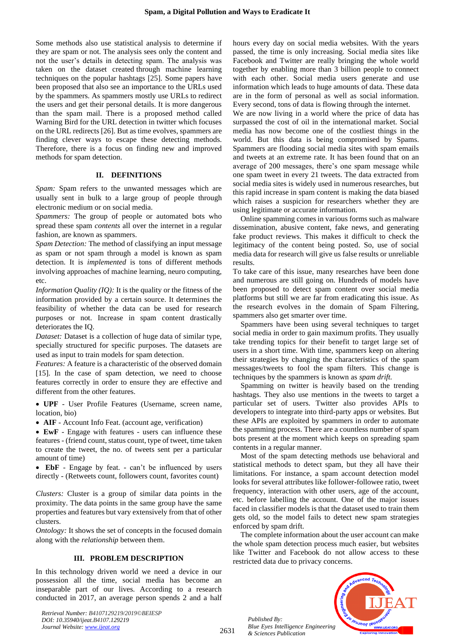Some methods also use statistical analysis to determine if they are spam or not. The analysis sees only the content and not the user's details in detecting spam. The analysis was taken on the dataset created through machine learning techniques on the popular hashtags [25]. Some papers have been proposed that also see an importance to the URLs used by the spammers. As spammers mostly use URLs to redirect the users and get their personal details. It is more dangerous than the spam mail. There is a proposed method called Warning Bird for the URL detection in twitter which focuses on the URL redirects [26]. But as time evolves, spammers are finding clever ways to escape these detecting methods. Therefore, there is a focus on finding new and improved methods for spam detection.

## **II. DEFINITIONS**

*Spam:* Spam refers to the unwanted messages which are usually sent in bulk to a large group of people through electronic medium or on social media.

*Spammers:* The group of people or automated bots who spread these spam *contents* all over the internet in a regular fashion, are known as spammers.

*Spam Detection:* The method of classifying an input message as spam or not spam through a model is known as spam detection. It is *implemented* is tons of different methods involving approaches of machine learning, neuro computing, etc.

*Information Quality (IQ):* It is the quality or the fitness of the information provided by a certain source. It determines the feasibility of whether the data can be used for research purposes or not. Increase in spam content drastically deteriorates the IQ.

*Dataset:* Dataset is a collection of huge data of similar type, specially structured for specific purposes. The datasets are used as input to train models for spam detection.

*Features:* A feature is a characteristic of the observed domain [15]. In the case of spam detection, we need to choose features correctly in order to ensure they are effective and different from the other features.

• **UPF** - User Profile Features (Username, screen name, location, bio)

• **AIF** - Account Info Feat. (account age, verification)

• **EwF** - Engage with features - users can influence these features - (friend count, status count, type of tweet, time taken to create the tweet, the no. of tweets sent per a particular amount of time)

• **EbF** - Engage by feat. - can't be influenced by users directly - (Retweets count, followers count, favorites count)

*Clusters:* Cluster is a group of similar data points in the proximity. The data points in the same group have the same properties and features but vary extensively from that of other clusters.

*Ontology:* It shows the set of concepts in the focused domain along with the *relationship* between them.

#### **III. PROBLEM DESCRIPTION**

In this technology driven world we need a device in our possession all the time, social media has become an inseparable part of our lives. According to a research conducted in 2017, an average person spends 2 and a half

*Retrieval Number: B4107129219/2019©BEIESP DOI: 10.35940/ijeat.B4107.129219 Journal Website[: www.ijeat.org](http://www.ijeat.org/)*

hours every day on social media websites. With the years passed, the time is only increasing. Social media sites like Facebook and Twitter are really bringing the whole world together by enabling more than 3 billion people to connect with each other. Social media users generate and use information which leads to huge amounts of data. These data are in the form of personal as well as social information. Every second, tons of data is flowing through the internet.

We are now living in a world where the price of data has surpassed the cost of oil in the international market. Social media has now become one of the costliest things in the world. But this data is being compromised by Spams. Spammers are flooding social media sites with spam emails and tweets at an extreme rate. It has been found that on an average of 200 messages, there's one spam message while one spam tweet in every 21 tweets. The data extracted from social media sites is widely used in numerous researches, but this rapid increase in spam content is making the data biased which raises a suspicion for researchers whether they are using legitimate or accurate information.

Online spamming comes in various forms such as malware dissemination, abusive content, fake news, and generating fake product reviews. This makes it difficult to check the legitimacy of the content being posted. So, use of social media data for research will give us false results or unreliable results.

To take care of this issue, many researches have been done and numerous are still going on. Hundreds of models have been proposed to detect spam content over social media platforms but still we are far from eradicating this issue. As the research evolves in the domain of Spam Filtering, spammers also get smarter over time.

Spammers have been using several techniques to target social media in order to gain maximum profits. They usually take trending topics for their benefit to target large set of users in a short time. With time, spammers keep on altering their strategies by changing the characteristics of the spam messages/tweets to fool the spam filters. This change is techniques by the spammers is known as *spam drift.*

Spamming on twitter is heavily based on the trending hashtags. They also use mentions in the tweets to target a particular set of users. Twitter also provides APIs to developers to integrate into third-party apps or websites. But these APIs are exploited by spammers in order to automate the spamming process. There are a countless number of spam bots present at the moment which keeps on spreading spam contents in a regular manner.

Most of the spam detecting methods use behavioral and statistical methods to detect spam, but they all have their limitations. For instance, a spam account detection model looks for several attributes like follower-followee ratio, tweet frequency, interaction with other users, age of the account, etc. before labelling the account. One of the major issues faced in classifier models is that the dataset used to train them gets old, so the model fails to detect new spam strategies enforced by spam drift.

The complete information about the user account can make the whole spam detection process much easier, but websites like Twitter and Facebook do not allow access to these restricted data due to privacy concerns.

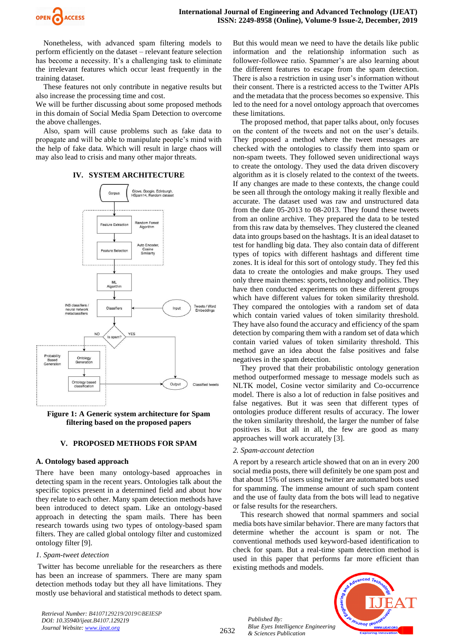

Nonetheless, with advanced spam filtering models to perform efficiently on the dataset – relevant feature selection has become a necessity. It's a challenging task to eliminate the irrelevant features which occur least frequently in the training dataset.

These features not only contribute in negative results but also increase the processing time and cost.

We will be further discussing about some proposed methods in this domain of Social Media Spam Detection to overcome the above challenges.

Also, spam will cause problems such as fake data to propagate and will be able to manipulate people's mind with the help of fake data. Which will result in large chaos will may also lead to crisis and many other major threats.

## **IV. SYSTEM ARCHITECTURE**



**Figure 1: A Generic system architecture for Spam filtering based on the proposed papers**

#### **V. PROPOSED METHODS FOR SPAM**

#### **A. Ontology based approach**

There have been many ontology-based approaches in detecting spam in the recent years. Ontologies talk about the specific topics present in a determined field and about how they relate to each other. Many spam detection methods have been introduced to detect spam. Like an ontology-based approach in detecting the spam mails. There has been research towards using two types of ontology-based spam filters. They are called global ontology filter and customized ontology filter [9].

#### *1. Spam-tweet detection*

Twitter has become unreliable for the researchers as there has been an increase of spammers. There are many spam detection methods today but they all have limitations. They mostly use behavioral and statistical methods to detect spam.

*Retrieval Number: B4107129219/2019©BEIESP DOI: 10.35940/ijeat.B4107.129219 Journal Website[: www.ijeat.org](http://www.ijeat.org/)*

But this would mean we need to have the details like public information and the relationship information such as follower-followee ratio. Spammer's are also learning about the different features to escape from the spam detection. There is also a restriction in using user's information without their consent. There is a restricted access to the Twitter APIs and the metadata that the process becomes so expensive. This led to the need for a novel ontology approach that overcomes these limitations.

The proposed method, that paper talks about, only focuses on the content of the tweets and not on the user's details. They proposed a method where the tweet messages are checked with the ontologies to classify them into spam or non-spam tweets. They followed seven unidirectional ways to create the ontology. They used the data driven discovery algorithm as it is closely related to the context of the tweets. If any changes are made to these contexts, the change could be seen all through the ontology making it really flexible and accurate. The dataset used was raw and unstructured data from the date 05-2013 to 08-2013. They found these tweets from an online archive. They prepared the data to be tested from this raw data by themselves. They clustered the cleaned data into groups based on the hashtags. It is an ideal dataset to test for handling big data. They also contain data of different types of topics with different hashtags and different time zones. It is ideal for this sort of ontology study. They fed this data to create the ontologies and make groups. They used only three main themes: sports, technology and politics. They have then conducted experiments on these different groups which have different values for token similarity threshold. They compared the ontologies with a random set of data which contain varied values of token similarity threshold. They have also found the accuracy and efficiency of the spam detection by comparing them with a random set of data which contain varied values of token similarity threshold. This method gave an idea about the false positives and false negatives in the spam detection.

They proved that their probabilistic ontology generation method outperformed message to message models such as NLTK model, Cosine vector similarity and Co-occurrence model. There is also a lot of reduction in false positives and false negatives. But it was seen that different types of ontologies produce different results of accuracy. The lower the token similarity threshold, the larger the number of false positives is. But all in all, the few are good as many approaches will work accurately [3].

#### *2. Spam-account detection*

A report by a research article showed that on an in every 200 social media posts, there will definitely be one spam post and that about 15% of users using twitter are automated bots used for spamming. The immense amount of such spam content and the use of faulty data from the bots will lead to negative or false results for the researchers.

This research showed that normal spammers and social media bots have similar behavior. There are many factors that determine whether the account is spam or not. The conventional methods used keyword-based identification to check for spam. But a real-time spam detection method is used in this paper that performs far more efficient than existing methods and models.

*Published By: Blue Eyes Intelligence Engineering & Sciences Publication* 



2632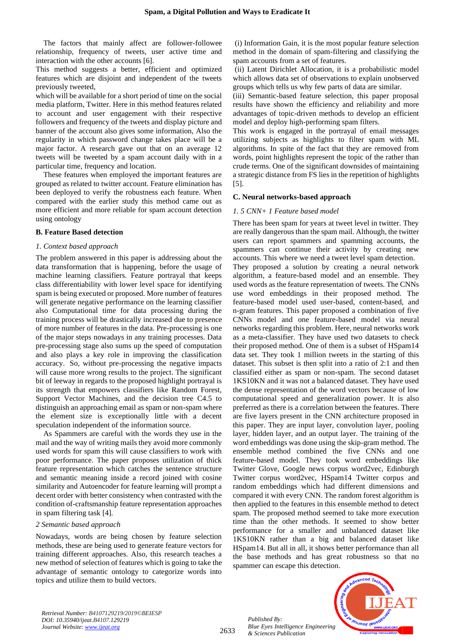The factors that mainly affect are follower-followee relationship, frequency of tweets, user active time and interaction with the other accounts [6].

This method suggests a better, efficient and optimized features which are disjoint and independent of the tweets previously tweeted,

which will be available for a short period of time on the social media platform, Twitter. Here in this method features related to account and user engagement with their respective followers and frequency of the tweets and display picture and banner of the account also gives some information, Also the regularity in which password change takes place will be a major factor. A research gave out that on an average 12 tweets will be tweeted by a spam account daily with in a particular time, frequency and location.

These features when employed the important features are grouped as related to twitter account. Feature elimination has been deployed to verify the robustness each feature. When compared with the earlier study this method came out as more efficient and more reliable for spam account detection using ontology

## **B. Feature Based detection**

#### *1. Context based approach*

The problem answered in this paper is addressing about the data transformation that is happening, before the usage of machine learning classifiers. Feature portrayal that keeps class differentiability with lower level space for identifying spam is being executed or proposed. More number of features will generate negative performance on the learning classifier also Computational time for data processing during the training process will be drastically increased due to presence of more number of features in the data. Pre-processing is one of the major steps nowadays in any training processes. Data pre-processing stage also sums up the speed of computation and also plays a key role in improving the classification accuracy. So, without pre-processing the negative impacts will cause more wrong results to the project. The significant bit of leeway in regards to the proposed highlight portrayal is its strength that empowers classifiers like Random Forest, Support Vector Machines, and the decision tree C4.5 to distinguish an approaching email as spam or non-spam where the element size is exceptionally little with a decent speculation independent of the information source.

As Spammers are careful with the words they use in the mail and the way of writing mails they avoid more commonly used words for spam this will cause classifiers to work with poor performance. The paper proposes utilization of thick feature representation which catches the sentence structure and semantic meaning inside a record joined with cosine similarity and Autoencoder for feature learning will prompt a decent order with better consistency when contrasted with the condition of-craftsmanship feature representation approaches in spam filtering task [4].

### *2 Semantic based approach*

Nowadays, words are being chosen by feature selection methods, these are being used to generate feature vectors for training different approaches. Also, this research teaches a new method of selection of features which is going to take the advantage of semantic ontology to categorize words into topics and utilize them to build vectors.

(i) Information Gain, it is the most popular feature selection method in the domain of spam-filtering and classifying the spam accounts from a set of features.

(ii) Latent Dirichlet Allocation, it is a probabilistic model which allows data set of observations to explain unobserved groups which tells us why few parts of data are similar.

(iii) Semantic-based feature selection, this paper proposal results have shown the efficiency and reliability and more advantages of topic-driven methods to develop an efficient model and deploy high-performing spam filters.

This work is engaged in the portrayal of email messages utilizing subjects as highlights to filter spam with ML algorithms. In spite of the fact that they are removed from words, point highlights represent the topic of the rather than crude terms. One of the significant downsides of maintaining a strategic distance from FS lies in the repetition of highlights [5].

## **C. Neural networks-based approach**

## *1. 5 CNN+ 1 Feature based model*

There has been spam for years at tweet level in twitter. They are really dangerous than the spam mail. Although, the twitter users can report spammers and spamming accounts, the spammers can continue their activity by creating new accounts. This where we need a tweet level spam detection. They proposed a solution by creating a neural network algorithm, a feature-based model and an ensemble. They used words as the feature representation of tweets. The CNNs use word embeddings in their proposed method. The feature-based model used user-based, content-based, and n-gram features. This paper proposed a combination of five CNNs model and one feature-based model via neural networks regarding this problem. Here, neural networks work as a meta-classifier. They have used two datasets to check their proposed method. One of them is a subset of HSpam14 data set. They took 1 million tweets in the starting of this dataset. This subset is then split into a ratio of 2:1 and then classified either as spam or non-spam. The second dataset 1KS10KN and it was not a balanced dataset. They have used the dense representation of the word vectors because of low computational speed and generalization power. It is also preferred as there is a correlation between the features. There are five layers present in the CNN architecture proposed in this paper. They are input layer, convolution layer, pooling layer, hidden layer, and an output layer. The training of the word embeddings was done using the skip-gram method. The ensemble method combined the five CNNs and one feature-based model. They took word embeddings like Twitter Glove, Google news corpus word2vec, Edinburgh Twitter corpus word2vec, HSpam14 Twitter corpus and random embeddings which had different dimensions and compared it with every CNN. The random forest algorithm is then applied to the features in this ensemble method to detect spam. The proposed method seemed to take more execution time than the other methods. It seemed to show better performance for a smaller and unbalanced dataset like 1KS10KN rather than a big and balanced dataset like HSpam14. But all in all, it shows better performance than all the base methods and has great robustness so that no spammer can escape this detection.

*Retrieval Number: B4107129219/2019©BEIESP DOI: 10.35940/ijeat.B4107.129219 Journal Website[: www.ijeat.org](http://www.ijeat.org/)*

2633

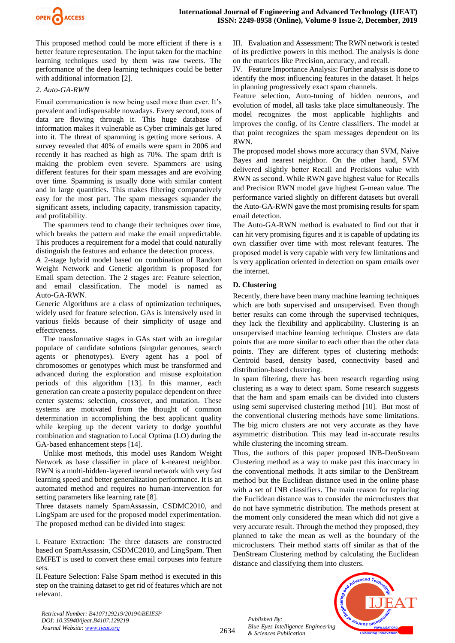

This proposed method could be more efficient if there is a better feature representation. The input taken for the machine learning techniques used by them was raw tweets. The performance of the deep learning techniques could be better with additional information [2].

## *2. Auto-GA-RWN*

Email communication is now being used more than ever. It's prevalent and indispensable nowadays. Every second, tons of data are flowing through it. This huge database of information makes it vulnerable as Cyber criminals get lured into it. The threat of spamming is getting more serious. A survey revealed that 40% of emails were spam in 2006 and recently it has reached as high as 70%. The spam drift is making the problem even severe. Spammers are using different features for their spam messages and are evolving over time. Spamming is usually done with similar content and in large quantities. This makes filtering comparatively easy for the most part. The spam messages squander the significant assets, including capacity, transmission capacity, and profitability.

The spammers tend to change their techniques over time, which breaks the pattern and make the email unpredictable. This produces a requirement for a model that could naturally distinguish the features and enhance the detection process.

A 2-stage hybrid model based on combination of Random Weight Network and Genetic algorithm is proposed for Email spam detection. The 2 stages are: Feature selection, and email classification. The model is named as Auto-GA-RWN.

Generic Algorithms are a class of optimization techniques, widely used for feature selection. GAs is intensively used in various fields because of their simplicity of usage and effectiveness.

The transformative stages in GAs start with an irregular populace of candidate solutions (singular genomes, search agents or phenotypes). Every agent has a pool of chromosomes or genotypes which must be transformed and advanced during the exploration and misuse exploitation periods of this algorithm [13]. In this manner, each generation can create a posterity populace dependent on three center systems: selection, crossover, and mutation. These systems are motivated from the thought of common determination in accomplishing the best applicant quality while keeping up the decent variety to dodge youthful combination and stagnation to Local Optima (LO) during the GA-based enhancement steps [14].

Unlike most methods, this model uses Random Weight Network as base classifier in place of k-nearest neighbor. RWN is a multi-hidden-layered neural network with very fast learning speed and better generalization performance. It is an automated method and requires no human-intervention for setting parameters like learning rate [8].

Three datasets namely SpamAssassin, CSDMC2010, and LingSpam are used for the proposed model experimentation. The proposed method can be divided into stages:

I. Feature Extraction: The three datasets are constructed based on SpamAssassin, CSDMC2010, and LingSpam. Then EMFET is used to convert these email corpuses into feature sets.

II.Feature Selection: False Spam method is executed in this step on the training dataset to get rid of features which are not relevant.

III. Evaluation and Assessment: The RWN network is tested of its predictive powers in this method. The analysis is done on the matrices like Precision, accuracy, and recall.

IV. Feature Importance Analysis: Further analysis is done to identify the most influencing features in the dataset. It helps in planning progressively exact spam channels.

Feature selection, Auto-tuning of hidden neurons, and evolution of model, all tasks take place simultaneously. The model recognizes the most applicable highlights and improves the config. of its Centre classifiers. The model at that point recognizes the spam messages dependent on its RWN.

The proposed model shows more accuracy than SVM, Naive Bayes and nearest neighbor. On the other hand, SVM delivered slightly better Recall and Precisions value with RWN as second. While RWN gave highest value for Recalls and Precision RWN model gave highest G-mean value. The performance varied slightly on different datasets but overall the Auto-GA-RWN gave the most promising results for spam email detection.

The Auto-GA-RWN method is evaluated to find out that it can hit very promising figures and it is capable of updating its own classifier over time with most relevant features. The proposed model is very capable with very few limitations and is very application oriented in detection on spam emails over the internet.

## **D. Clustering**

Recently, there have been many machine learning techniques which are both supervised and unsupervised. Even though better results can come through the supervised techniques, they lack the flexibility and applicability. Clustering is an unsupervised machine learning technique. Clusters are data points that are more similar to each other than the other data points. They are different types of clustering methods: Centroid based, density based, connectivity based and distribution-based clustering.

In spam filtering, there has been research regarding using clustering as a way to detect spam. Some research suggests that the ham and spam emails can be divided into clusters using semi supervised clustering method [10]. But most of the conventional clustering methods have some limitations. The big micro clusters are not very accurate as they have asymmetric distribution. This may lead in-accurate results while clustering the incoming stream.

Thus, the authors of this paper proposed INB-DenStream Clustering method as a way to make past this inaccuracy in the conventional methods. It acts similar to the DenStream method but the Euclidean distance used in the online phase with a set of INB classifiers. The main reason for replacing the Euclidean distance was to consider the microclusters that do not have symmetric distribution. The methods present at the moment only considered the mean which did not give a very accurate result. Through the method they proposed, they planned to take the mean as well as the boundary of the microclusters. Their method starts off similar as that of the DenStream Clustering method by calculating the Euclidean distance and classifying them into clusters.

*Retrieval Number: B4107129219/2019©BEIESP DOI: 10.35940/ijeat.B4107.129219 Journal Website[: www.ijeat.org](http://www.ijeat.org/)*

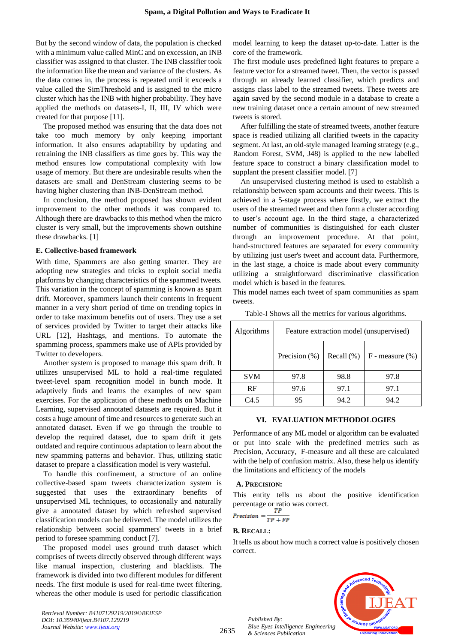But by the second window of data, the population is checked with a minimum value called MinC and on excession, an INB classifier was assigned to that cluster. The INB classifier took the information like the mean and variance of the clusters. As the data comes in, the process is repeated until it exceeds a value called the SimThreshold and is assigned to the micro cluster which has the INB with higher probability. They have applied the methods on datasets-I, II, III, IV which were created for that purpose [11].

The proposed method was ensuring that the data does not take too much memory by only keeping important information. It also ensures adaptability by updating and retraining the INB classifiers as time goes by. This way the method ensures low computational complexity with low usage of memory. But there are undesirable results when the datasets are small and DenStream clustering seems to be having higher clustering than INB-DenStream method.

In conclusion, the method proposed has shown evident improvement to the other methods it was compared to. Although there are drawbacks to this method when the micro cluster is very small, but the improvements shown outshine these drawbacks. [1]

#### **E. Collective-based framework**

With time, Spammers are also getting smarter. They are adopting new strategies and tricks to exploit social media platforms by changing characteristics of the spammed tweets. This variation in the concept of spamming is known as spam drift. Moreover, spammers launch their contents in frequent manner in a very short period of time on trending topics in order to take maximum benefits out of users. They use a set of services provided by Twitter to target their attacks like URL [12], Hashtags, and mentions. To automate the spamming process, spammers make use of APIs provided by Twitter to developers.

Another system is proposed to manage this spam drift. It utilizes unsupervised ML to hold a real-time regulated tweet-level spam recognition model in bunch mode. It adaptively finds and learns the examples of new spam exercises. For the application of these methods on Machine Learning, supervised annotated datasets are required. But it costs a huge amount of time and resources to generate such an annotated dataset. Even if we go through the trouble to develop the required dataset, due to spam drift it gets outdated and require continuous adaptation to learn about the new spamming patterns and behavior. Thus, utilizing static dataset to prepare a classification model is very wasteful.

To handle this confinement, a structure of an online collective-based spam tweets characterization system is suggested that uses the extraordinary benefits of unsupervised ML techniques, to occasionally and naturally give a annotated dataset by which refreshed supervised classification models can be delivered. The model utilizes the relationship between social spammers' tweets in a brief period to foresee spamming conduct [7].

The proposed model uses ground truth dataset which comprises of tweets directly observed through different ways like manual inspection, clustering and blacklists. The framework is divided into two different modules for different needs. The first module is used for real-time tweet filtering, whereas the other module is used for periodic classification model learning to keep the dataset up-to-date. Latter is the core of the framework.

The first module uses predefined light features to prepare a feature vector for a streamed tweet. Then, the vector is passed through an already learned classifier, which predicts and assigns class label to the streamed tweets. These tweets are again saved by the second module in a database to create a new training dataset once a certain amount of new streamed tweets is stored.

After fulfilling the state of streamed tweets, another feature space is readied utilizing all clarified tweets in the capacity segment. At last, an old-style managed learning strategy (e.g., Random Forest, SVM, J48) is applied to the new labelled feature space to construct a binary classification model to supplant the present classifier model. [7]

An unsupervised clustering method is used to establish a relationship between spam accounts and their tweets. This is achieved in a 5-stage process where firstly, we extract the users of the streamed tweet and then form a cluster according to user's account age. In the third stage, a characterized number of communities is distinguished for each cluster through an improvement procedure. At that point, hand-structured features are separated for every community by utilizing just user's tweet and account data. Furthermore, in the last stage, a choice is made about every community utilizing a straightforward discriminative classification model which is based in the features.

This model names each tweet of spam communities as spam tweets.

| Algorithms | Feature extraction model (unsupervised) |               |                      |
|------------|-----------------------------------------|---------------|----------------------|
|            | Precision (%)                           | Recall $(\%)$ | $F$ - measure $(\%)$ |
| <b>SVM</b> | 97.8                                    | 98.8          | 97.8                 |
| RF         | 97.6                                    | 97.1          | 97.1                 |
| C4.5       | 95                                      | 94.2          | 94.2                 |

Table-I Shows all the metrics for various algorithms.

#### **VI. EVALUATION METHODOLOGIES**

Performance of any ML model or algorithm can be evaluated or put into scale with the predefined metrics such as Precision, Accuracy, F-measure and all these are calculated with the help of confusion matrix. Also, these help us identify the limitations and efficiency of the models

#### **A. PRECISION:**

This entity tells us about the positive identification percentage or ratio was correct.

$$
Precision = \frac{P}{TP + FP}
$$

#### **B. RECALL:**

It tells us about how much a correct value is positively chosen correct.



*Retrieval Number: B4107129219/2019©BEIESP DOI: 10.35940/ijeat.B4107.129219 Journal Website[: www.ijeat.org](http://www.ijeat.org/)*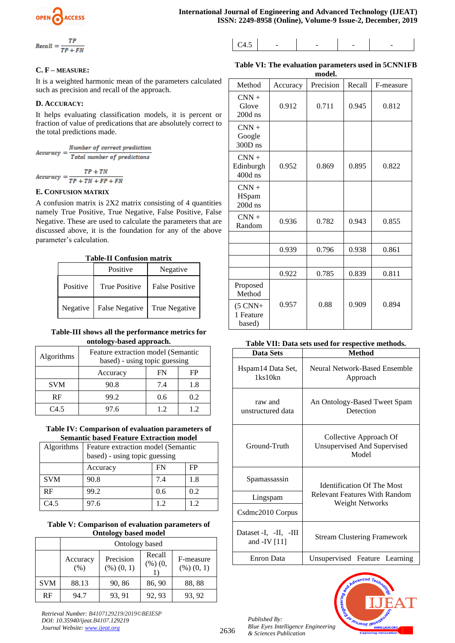$$
Recall = \frac{TP}{TP + FN}
$$

$$
C4.5 \qquad - \qquad - \qquad - \qquad - \qquad - \qquad - \qquad - \qquad -
$$

# **C. F – MEASURE:**

It is a weighted harmonic mean of the parameters calculated such as precision and recall of the approach.

# **D. ACCURACY:**

It helps evaluating classification models, it is percent or fraction of value of predications that are absolutely correct to the total predictions made.

$$
Accuracy = \frac{Number\ of\ correct\ prediction}{Total\ number\ of\ predictions}
$$
\n
$$
Accuracy = \frac{TP + TN}{TP + TN + FP + FN}
$$

# **E. CONFUSION MATRIX**

A confusion matrix is 2X2 matrix consisting of 4 quantities namely True Positive, True Negative, False Positive, False Negative. These are used to calculate the parameters that are discussed above, it is the foundation for any of the above parameter's calculation.

**Table-II Confusion matrix**

| таок-п сошазкоп шапта |                      |                |  |  |
|-----------------------|----------------------|----------------|--|--|
|                       | Positive             | Negative       |  |  |
| Positive              | <b>True Positive</b> | False Positive |  |  |
| Negative              | False Negative       | True Negative  |  |  |

# **Table-III shows all the performance metrics for ontology-based approach.**

| Algorithms | Feature extraction model (Semantic<br>based) - using topic guessing |     |     |
|------------|---------------------------------------------------------------------|-----|-----|
|            | Accuracy                                                            | FN  | FΡ  |
| <b>SVM</b> | 90.8                                                                | 7.4 | 1.8 |
| <b>RF</b>  | 99.2                                                                | 0.6 | 0.2 |
| C45        | 97.6                                                                | 12  | 12  |

# **Table IV: Comparison of evaluation parameters of Semantic based Feature Extraction model**

| Algorithms | Feature extraction model (Semantic<br>based) - using topic guessing |     |     |
|------------|---------------------------------------------------------------------|-----|-----|
|            | Accuracy                                                            | FN  | FP  |
| <b>SVM</b> | 90.8                                                                | 7.4 | 1.8 |
| RF         | 99.2                                                                | 0.6 | 0.2 |
| C4.5       | 97.6                                                                | 12  | 12  |

# **Table V: Comparison of evaluation parameters of Ontology based model**

|            | Ontology based   |                         |                     |                         |
|------------|------------------|-------------------------|---------------------|-------------------------|
|            | Accuracy<br>(% ) | Precision<br>(%) (0, 1) | Recall<br>(%) (0, ) | F-measure<br>(%) (0, 1) |
| <b>SVM</b> | 88.13            | 90, 86                  | 86, 90              | 88, 88                  |
| RF         | 94.7             | 93, 91                  | 92, 93              | 93, 92                  |

*Retrieval Number: B4107129219/2019©BEIESP DOI: 10.35940/ijeat.B4107.129219 Journal Website[: www.ijeat.org](http://www.ijeat.org/)*

| Table VI: The evaluation parameters used in 5CNN1FB |       |  |
|-----------------------------------------------------|-------|--|
|                                                     | model |  |

| Method                                  | Accuracy | Precision | Recall | F-measure |
|-----------------------------------------|----------|-----------|--------|-----------|
| $CNN +$<br>Glove<br>$200d$ ns           | 0.912    | 0.711     | 0.945  | 0.812     |
| $CNN +$<br>Google<br>300D <sub>ns</sub> |          |           |        |           |
| $CNN +$<br>Edinburgh<br>400d ns         | 0.952    | 0.869     | 0.895  | 0.822     |
| $CNN +$<br>HSpam<br>$200d$ ns           |          |           |        |           |
| $CNN +$<br>Random                       | 0.936    | 0.782     | 0.943  | 0.855     |
|                                         |          |           |        |           |
|                                         | 0.939    | 0.796     | 0.938  | 0.861     |
|                                         |          |           |        |           |
|                                         | 0.922    | 0.785     | 0.839  | 0.811     |
| Proposed<br>Method                      |          |           |        |           |
| $(5$ CNN+<br>1 Feature<br>based)        | 0.957    | 0.88      | 0.909  | 0.894     |

## **Table VII: Data sets used for respective methods.**

| Data Sets                               | <b>Method</b>                                                                                |  |
|-----------------------------------------|----------------------------------------------------------------------------------------------|--|
| Hspam14 Data Set,<br>$1$ ks $10$ kn     | Neural Network-Based Ensemble<br>Approach                                                    |  |
| raw and<br>unstructured data            | An Ontology-Based Tweet Spam<br>Detection                                                    |  |
| Ground-Truth                            | Collective Approach Of<br><b>Unsupervised And Supervised</b><br>Model                        |  |
| Spamassassin                            | <b>Identification Of The Most</b><br>Relevant Features With Random<br><b>Weight Networks</b> |  |
| Lingspam                                |                                                                                              |  |
| Csdmc2010 Corpus                        |                                                                                              |  |
| Dataset -I, -II, -III<br>and -IV $[11]$ | <b>Stream Clustering Framework</b>                                                           |  |
| <b>Enron Data</b>                       | Unsupervised Feature Learning                                                                |  |



*Published By: Blue Eyes Intelligence Engineering & Sciences Publication* 

2636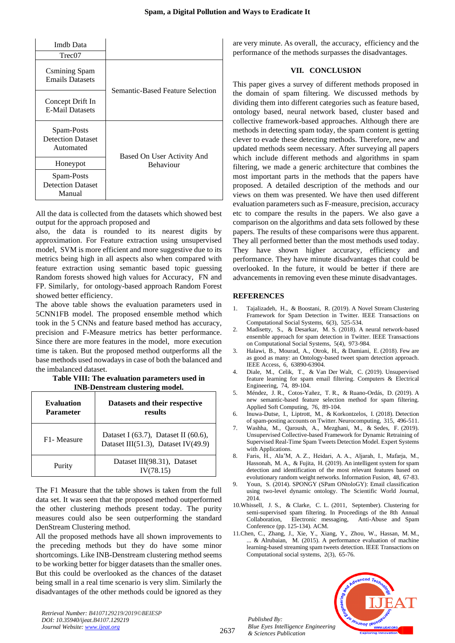| Imdh Data<br>Tree07                                 |                                  |
|-----------------------------------------------------|----------------------------------|
| Csmining Spam<br><b>Emails Datasets</b>             | Semantic-Based Feature Selection |
| Concept Drift In<br><b>E-Mail Datasets</b>          |                                  |
| Spam-Posts<br><b>Detection Dataset</b><br>Automated | Based On User Activity And       |
| Honeypot                                            | <b>Behaviour</b>                 |
| Spam-Posts<br><b>Detection Dataset</b><br>Manual    |                                  |

All the data is collected from the datasets which showed best output for the approach proposed and

also, the data is rounded to its nearest digits by approximation. For Feature extraction using unsupervised model, SVM is more efficient and more suggestive due to its metrics being high in all aspects also when compared with feature extraction using semantic based topic guessing Random forests showed high values for Accuracy, FN and FP. Similarly, for ontology-based approach Random Forest showed better efficiency.

The above table shows the evaluation parameters used in 5CNN1FB model. The proposed ensemble method which took in the 5 CNNs and feature based method has accuracy, precision and F-Measure metrics has better performance. Since there are more features in the model, more execution time is taken. But the proposed method outperforms all the base methods used nowadays in case of both the balanced and the imbalanced dataset.

#### **Table VIII: The evaluation parameters used in INB-Denstream clustering model.**

| <b>Evaluation</b><br><b>Parameter</b> | Datasets and their respective<br>results                                          |  |
|---------------------------------------|-----------------------------------------------------------------------------------|--|
| F <sub>1</sub> - Measure              | Dataset I $(63.7)$ , Dataset II $(60.6)$ ,<br>Dataset III(51.3), Dataset IV(49.9) |  |
| Purity                                | Dataset III(98.31), Dataset<br>IV(78.15)                                          |  |

The F1 Measure that the table shows is taken from the full data set. It was seen that the proposed method outperformed the other clustering methods present today. The purity measures could also be seen outperforming the standard DenStream Clustering method.

All the proposed methods have all shown improvements to the preceding methods but they do have some minor shortcomings. Like INB-Denstream clustering method seems to be working better for bigger datasets than the smaller ones. But this could be overlooked as the chances of the dataset being small in a real time scenario is very slim. Similarly the disadvantages of the other methods could be ignored as they

*Retrieval Number: B4107129219/2019©BEIESP DOI: 10.35940/ijeat.B4107.129219 Journal Website[: www.ijeat.org](http://www.ijeat.org/)*

are very minute. As overall, the accuracy, efficiency and the performance of the methods surpasses the disadvantages.

# **VII. CONCLUSION**

This paper gives a survey of different methods proposed in the domain of spam filtering. We discussed methods by dividing them into different categories such as feature based, ontology based, neural network based, cluster based and collective framework-based approaches. Although there are methods in detecting spam today, the spam content is getting clever to evade these detecting methods. Therefore, new and updated methods seem necessary. After surveying all papers which include different methods and algorithms in spam filtering, we made a generic architecture that combines the most important parts in the methods that the papers have proposed. A detailed description of the methods and our views on them was presented. We have then used different evaluation parameters such as F-measure, precision, accuracy etc to compare the results in the papers. We also gave a comparison on the algorithms and data sets followed by these papers. The results of these comparisons were thus apparent. They all performed better than the most methods used today. They have shown higher accuracy, efficiency and performance. They have minute disadvantages that could be overlooked. In the future, it would be better if there are advancements in removing even these minute disadvantages.

## **REFERENCES**

- 1. Tajalizadeh, H., & Boostani, R. (2019). A Novel Stream Clustering Framework for Spam Detection in Twitter. IEEE Transactions on Computational Social Systems, 6(3), 525-534.
- 2. Madisetty, S., & Desarkar, M. S. (2018). A neural network-based ensemble approach for spam detection in Twitter. IEEE Transactions on Computational Social Systems, 5(4), 973-984.
- 3. Halawi, B., Mourad, A., Otrok, H., & Damiani, E. (2018). Few are as good as many: an Ontology-based tweet spam detection approach. IEEE Access, 6, 63890-63904.
- 4. Diale, M., Celik, T., & Van Der Walt, C. (2019). Unsupervised feature learning for spam email filtering. Computers & Electrical Engineering, 74, 89-104.
- 5. Méndez, J. R., Cotos-Yañez, T. R., & Ruano-Ordás, D. (2019). A new semantic-based feature selection method for spam filtering. Applied Soft Computing, 76, 89-104.
- 6. Inuwa-Dutse, I., Liptrott, M., & Korkontzelos, I. (2018). Detection of spam-posting accounts on Twitter. Neurocomputing, 315, 496-511.
- 7. Washha, M., Qaroush, A., Mezghani, M., & Sedes, F. (2019). Unsupervised Collective-based Framework for Dynamic Retraining of Supervised Real-Time Spam Tweets Detection Model. Expert Systems with Applications.
- 8. Faris, H., Ala'M, A. Z., Heidari, A. A., Aljarah, I., Mafarja, M., Hassonah, M. A., & Fujita, H. (2019). An intelligent system for spam detection and identification of the most relevant features based on evolutionary random weight networks. Information Fusion, 48, 67-83.
- 9. Youn, S. (2014). SPONGY (SPam ONtoloGY): Email classification using two-level dynamic ontology. The Scientific World Journal, 2014.
- 10.Whissell, J. S., & Clarke, C. L. (2011, September). Clustering for semi-supervised spam filtering. In Proceedings of the 8th Annual Collaboration, Electronic messaging, Anti-Abuse and Spam Conference (pp. 125-134). ACM.
- 11.Chen, C., Zhang, J., Xie, Y., Xiang, Y., Zhou, W., Hassan, M. M., ... & Alrubaian, M. (2015). A performance evaluation of machine learning-based streaming spam tweets detection. IEEE Transactions on Computational social systems, 2(3), 65-76.



2637

*Published By:*

*& Sciences Publication*